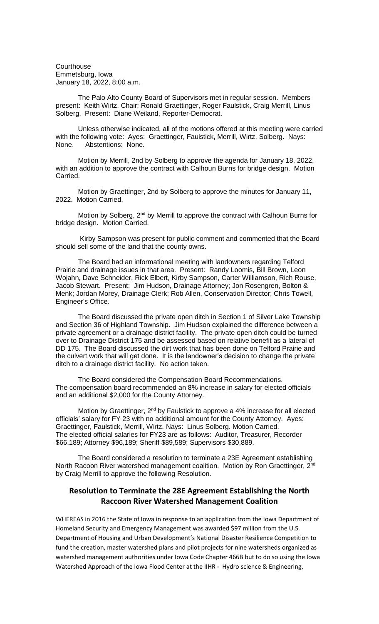**Courthouse** Emmetsburg, Iowa January 18, 2022, 8:00 a.m.

The Palo Alto County Board of Supervisors met in regular session. Members present: Keith Wirtz, Chair; Ronald Graettinger, Roger Faulstick, Craig Merrill, Linus Solberg. Present: Diane Weiland, Reporter-Democrat.

Unless otherwise indicated, all of the motions offered at this meeting were carried with the following vote: Ayes: Graettinger, Faulstick, Merrill, Wirtz, Solberg. Nays: None. Abstentions: None.

Motion by Merrill, 2nd by Solberg to approve the agenda for January 18, 2022, with an addition to approve the contract with Calhoun Burns for bridge design. Motion Carried.

Motion by Graettinger, 2nd by Solberg to approve the minutes for January 11, 2022. Motion Carried.

Motion by Solberg, 2<sup>nd</sup> by Merrill to approve the contract with Calhoun Burns for bridge design. Motion Carried.

Kirby Sampson was present for public comment and commented that the Board should sell some of the land that the county owns.

The Board had an informational meeting with landowners regarding Telford Prairie and drainage issues in that area. Present: Randy Loomis, Bill Brown, Leon Wojahn, Dave Schneider, Rick Elbert, Kirby Sampson, Carter Williamson, Rich Rouse, Jacob Stewart. Present: Jim Hudson, Drainage Attorney; Jon Rosengren, Bolton & Menk; Jordan Morey, Drainage Clerk; Rob Allen, Conservation Director; Chris Towell, Engineer's Office.

The Board discussed the private open ditch in Section 1 of Silver Lake Township and Section 36 of Highland Township. Jim Hudson explained the difference between a private agreement or a drainage district facility. The private open ditch could be turned over to Drainage District 175 and be assessed based on relative benefit as a lateral of DD 175. The Board discussed the dirt work that has been done on Telford Prairie and the culvert work that will get done. It is the landowner's decision to change the private ditch to a drainage district facility. No action taken.

The Board considered the Compensation Board Recommendations. The compensation board recommended an 8% increase in salary for elected officials and an additional \$2,000 for the County Attorney.

Motion by Graettinger,  $2^{nd}$  by Faulstick to approve a 4% increase for all elected officials' salary for FY 23 with no additional amount for the County Attorney. Ayes: Graettinger, Faulstick, Merrill, Wirtz. Nays: Linus Solberg. Motion Carried. The elected official salaries for FY23 are as follows: Auditor, Treasurer, Recorder \$66,189; Attorney \$96,189; Sheriff \$89,589; Supervisors \$30,889.

The Board considered a resolution to terminate a 23E Agreement establishing North Racoon River watershed management coalition. Motion by Ron Graettinger, 2<sup>nd</sup> by Craig Merrill to approve the following Resolution.

## **Resolution to Terminate the 28E Agreement Establishing the North Raccoon River Watershed Management Coalition**

WHEREAS in 2016 the State of Iowa in response to an application from the Iowa Department of Homeland Security and Emergency Management was awarded \$97 million from the U.S. Department of Housing and Urban Development's National Disaster Resilience Competition to fund the creation, master watershed plans and pilot projects for nine watersheds organized as watershed management authorities under Iowa Code Chapter 466B but to do so using the Iowa Watershed Approach of the Iowa Flood Center at the IIHR - Hydro science & Engineering,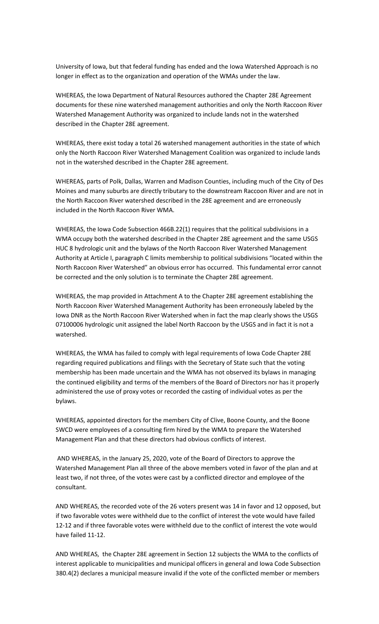University of Iowa, but that federal funding has ended and the Iowa Watershed Approach is no longer in effect as to the organization and operation of the WMAs under the law.

WHEREAS, the Iowa Department of Natural Resources authored the Chapter 28E Agreement documents for these nine watershed management authorities and only the North Raccoon River Watershed Management Authority was organized to include lands not in the watershed described in the Chapter 28E agreement.

WHEREAS, there exist today a total 26 watershed management authorities in the state of which only the North Raccoon River Watershed Management Coalition was organized to include lands not in the watershed described in the Chapter 28E agreement.

WHEREAS, parts of Polk, Dallas, Warren and Madison Counties, including much of the City of Des Moines and many suburbs are directly tributary to the downstream Raccoon River and are not in the North Raccoon River watershed described in the 28E agreement and are erroneously included in the North Raccoon River WMA.

WHEREAS, the Iowa Code Subsection 466B.22(1) requires that the political subdivisions in a WMA occupy both the watershed described in the Chapter 28E agreement and the same USGS HUC 8 hydrologic unit and the bylaws of the North Raccoon River Watershed Management Authority at Article I, paragraph C limits membership to political subdivisions "located within the North Raccoon River Watershed" an obvious error has occurred. This fundamental error cannot be corrected and the only solution is to terminate the Chapter 28E agreement.

WHEREAS, the map provided in Attachment A to the Chapter 28E agreement establishing the North Raccoon River Watershed Management Authority has been erroneously labeled by the Iowa DNR as the North Raccoon River Watershed when in fact the map clearly shows the USGS 07100006 hydrologic unit assigned the label North Raccoon by the USGS and in fact it is not a watershed.

WHEREAS, the WMA has failed to comply with legal requirements of Iowa Code Chapter 28E regarding required publications and filings with the Secretary of State such that the voting membership has been made uncertain and the WMA has not observed its bylaws in managing the continued eligibility and terms of the members of the Board of Directors nor has it properly administered the use of proxy votes or recorded the casting of individual votes as per the bylaws.

WHEREAS, appointed directors for the members City of Clive, Boone County, and the Boone SWCD were employees of a consulting firm hired by the WMA to prepare the Watershed Management Plan and that these directors had obvious conflicts of interest.

AND WHEREAS, in the January 25, 2020, vote of the Board of Directors to approve the Watershed Management Plan all three of the above members voted in favor of the plan and at least two, if not three, of the votes were cast by a conflicted director and employee of the consultant.

AND WHEREAS, the recorded vote of the 26 voters present was 14 in favor and 12 opposed, but if two favorable votes were withheld due to the conflict of interest the vote would have failed 12-12 and if three favorable votes were withheld due to the conflict of interest the vote would have failed 11-12.

AND WHEREAS, the Chapter 28E agreement in Section 12 subjects the WMA to the conflicts of interest applicable to municipalities and municipal officers in general and Iowa Code Subsection 380.4(2) declares a municipal measure invalid if the vote of the conflicted member or members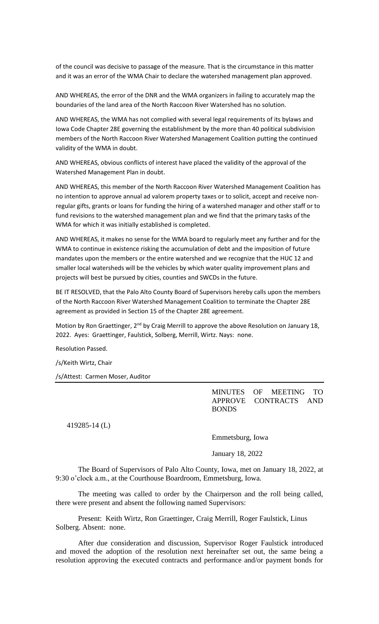of the council was decisive to passage of the measure. That is the circumstance in this matter and it was an error of the WMA Chair to declare the watershed management plan approved.

AND WHEREAS, the error of the DNR and the WMA organizers in failing to accurately map the boundaries of the land area of the North Raccoon River Watershed has no solution.

AND WHEREAS, the WMA has not complied with several legal requirements of its bylaws and Iowa Code Chapter 28E governing the establishment by the more than 40 political subdivision members of the North Raccoon River Watershed Management Coalition putting the continued validity of the WMA in doubt.

AND WHEREAS, obvious conflicts of interest have placed the validity of the approval of the Watershed Management Plan in doubt.

AND WHEREAS, this member of the North Raccoon River Watershed Management Coalition has no intention to approve annual ad valorem property taxes or to solicit, accept and receive nonregular gifts, grants or loans for funding the hiring of a watershed manager and other staff or to fund revisions to the watershed management plan and we find that the primary tasks of the WMA for which it was initially established is completed.

AND WHEREAS, it makes no sense for the WMA board to regularly meet any further and for the WMA to continue in existence risking the accumulation of debt and the imposition of future mandates upon the members or the entire watershed and we recognize that the HUC 12 and smaller local watersheds will be the vehicles by which water quality improvement plans and projects will best be pursued by cities, counties and SWCDs in the future.

BE IT RESOLVED, that the Palo Alto County Board of Supervisors hereby calls upon the members of the North Raccoon River Watershed Management Coalition to terminate the Chapter 28E agreement as provided in Section 15 of the Chapter 28E agreement.

Motion by Ron Graettinger, 2<sup>nd</sup> by Craig Merrill to approve the above Resolution on January 18, 2022. Ayes: Graettinger, Faulstick, Solberg, Merrill, Wirtz. Nays: none.

Resolution Passed.

/s/Keith Wirtz, Chair

/s/Attest: Carmen Moser, Auditor

MINUTES OF MEETING TO APPROVE CONTRACTS AND BONDS

419285-14 (L)

Emmetsburg, Iowa

January 18, 2022

The Board of Supervisors of Palo Alto County, Iowa, met on January 18, 2022, at 9:30 o'clock a.m., at the Courthouse Boardroom, Emmetsburg, Iowa.

The meeting was called to order by the Chairperson and the roll being called, there were present and absent the following named Supervisors:

Present: Keith Wirtz, Ron Graettinger, Craig Merrill, Roger Faulstick, Linus Solberg. Absent: none.

After due consideration and discussion, Supervisor Roger Faulstick introduced and moved the adoption of the resolution next hereinafter set out, the same being a resolution approving the executed contracts and performance and/or payment bonds for